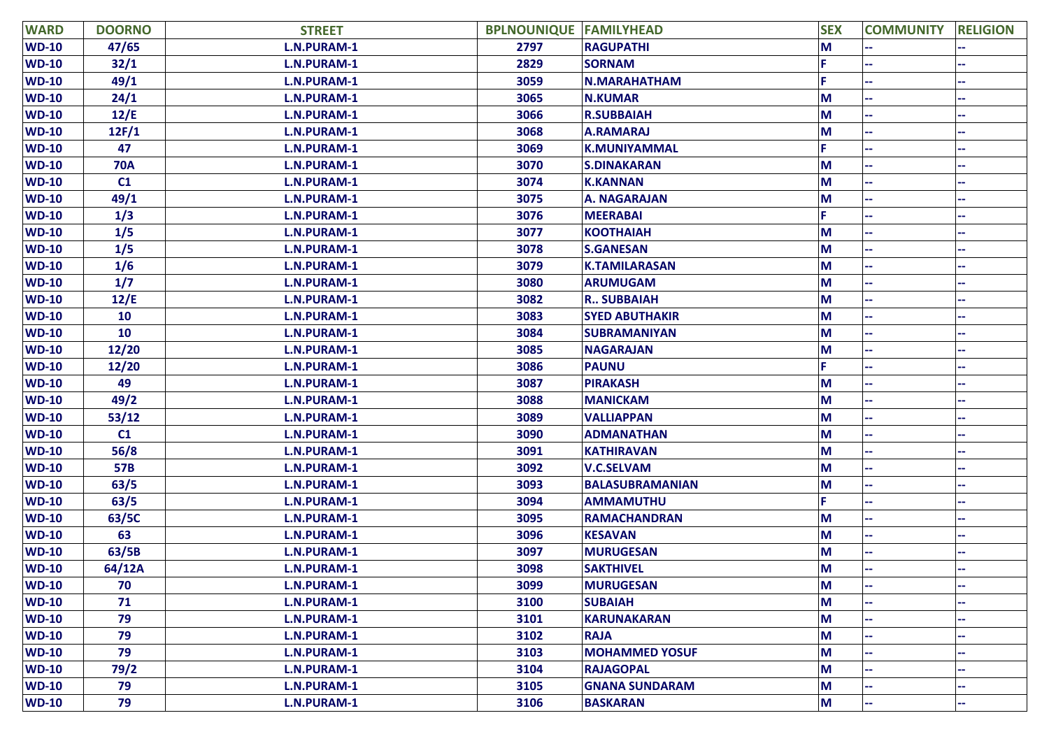| <b>WARD</b>  | <b>DOORNO</b> | <b>STREET</b>      | <b>BPLNOUNIQUE FAMILYHEAD</b> |                        | <b>SEX</b> | <b>COMMUNITY</b> | <b>RELIGION</b> |
|--------------|---------------|--------------------|-------------------------------|------------------------|------------|------------------|-----------------|
| $WD-10$      | 47/65         | <b>L.N.PURAM-1</b> | 2797                          | <b>RAGUPATHI</b>       | M          |                  |                 |
| $WD-10$      | 32/1          | <b>L.N.PURAM-1</b> | 2829                          | <b>SORNAM</b>          |            |                  |                 |
| <b>WD-10</b> | 49/1          | <b>L.N.PURAM-1</b> | 3059                          | <b>N.MARAHATHAM</b>    |            |                  |                 |
| <b>WD-10</b> | 24/1          | L.N.PURAM-1        | 3065                          | <b>N.KUMAR</b>         | M          |                  |                 |
| <b>WD-10</b> | 12/E          | L.N.PURAM-1        | 3066                          | <b>R.SUBBAIAH</b>      | M          |                  |                 |
| <b>WD-10</b> | 12F/1         | <b>L.N.PURAM-1</b> | 3068                          | <b>A.RAMARAJ</b>       | M          |                  |                 |
| <b>WD-10</b> | 47            | <b>L.N.PURAM-1</b> | 3069                          | <b>K.MUNIYAMMAL</b>    |            |                  |                 |
| <b>WD-10</b> | <b>70A</b>    | L.N.PURAM-1        | 3070                          | <b>S.DINAKARAN</b>     | M          |                  |                 |
| <b>WD-10</b> | C1            | <b>L.N.PURAM-1</b> | 3074                          | <b>K.KANNAN</b>        | М          |                  |                 |
| <b>WD-10</b> | 49/1          | <b>L.N.PURAM-1</b> | 3075                          | A. NAGARAJAN           | M          |                  |                 |
| <b>WD-10</b> | 1/3           | L.N.PURAM-1        | 3076                          | <b>MEERABAI</b>        |            |                  |                 |
| <b>WD-10</b> | 1/5           | L.N.PURAM-1        | 3077                          | <b>KOOTHAIAH</b>       | M          |                  |                 |
| <b>WD-10</b> | 1/5           | L.N.PURAM-1        | 3078                          | <b>S.GANESAN</b>       | M          |                  |                 |
| <b>WD-10</b> | 1/6           | L.N.PURAM-1        | 3079                          | <b>K.TAMILARASAN</b>   | M          |                  |                 |
| <b>WD-10</b> | 1/7           | L.N.PURAM-1        | 3080                          | <b>ARUMUGAM</b>        | M          |                  |                 |
| <b>WD-10</b> | 12/E          | L.N.PURAM-1        | 3082                          | <b>R., SUBBAIAH</b>    | M          |                  |                 |
| <b>WD-10</b> | 10            | <b>L.N.PURAM-1</b> | 3083                          | <b>SYED ABUTHAKIR</b>  | M          |                  |                 |
| <b>WD-10</b> | 10            | L.N.PURAM-1        | 3084                          | <b>SUBRAMANIYAN</b>    | M          |                  |                 |
| <b>WD-10</b> | 12/20         | L.N.PURAM-1        | 3085                          | <b>NAGARAJAN</b>       | M          |                  |                 |
| <b>WD-10</b> | 12/20         | L.N.PURAM-1        | 3086                          | <b>PAUNU</b>           |            |                  |                 |
| <b>WD-10</b> | 49            | L.N.PURAM-1        | 3087                          | <b>PIRAKASH</b>        | M          |                  |                 |
| <b>WD-10</b> | 49/2          | L.N.PURAM-1        | 3088                          | <b>MANICKAM</b>        | M          |                  |                 |
| <b>WD-10</b> | 53/12         | L.N.PURAM-1        | 3089                          | <b>VALLIAPPAN</b>      | M          |                  |                 |
| <b>WD-10</b> | C1            | L.N.PURAM-1        | 3090                          | <b>ADMANATHAN</b>      | M          |                  |                 |
| <b>WD-10</b> | 56/8          | L.N.PURAM-1        | 3091                          | <b>KATHIRAVAN</b>      | M          |                  |                 |
| <b>WD-10</b> | 57B           | L.N.PURAM-1        | 3092                          | <b>V.C.SELVAM</b>      | M          |                  |                 |
| <b>WD-10</b> | 63/5          | L.N.PURAM-1        | 3093                          | <b>BALASUBRAMANIAN</b> | M          |                  |                 |
| <b>WD-10</b> | 63/5          | L.N.PURAM-1        | 3094                          | <b>AMMAMUTHU</b>       |            |                  |                 |
| <b>WD-10</b> | 63/5C         | <b>L.N.PURAM-1</b> | 3095                          | <b>RAMACHANDRAN</b>    | M          |                  |                 |
| <b>WD-10</b> | 63            | L.N.PURAM-1        | 3096                          | <b>KESAVAN</b>         | M          |                  |                 |
| <b>WD-10</b> | 63/5B         | L.N.PURAM-1        | 3097                          | <b>MURUGESAN</b>       | M          |                  |                 |
| <b>WD-10</b> | 64/12A        | L.N.PURAM-1        | 3098                          | <b>SAKTHIVEL</b>       | M          |                  |                 |
| <b>WD-10</b> | 70            | L.N.PURAM-1        | 3099                          | <b>MURUGESAN</b>       | M          |                  | ۰.              |
| <b>WD-10</b> | 71            | L.N.PURAM-1        | 3100                          | <b>SUBAIAH</b>         | M          |                  |                 |
| $WD-10$      | 79            | L.N.PURAM-1        | 3101                          | <b>KARUNAKARAN</b>     | M          |                  |                 |
| $WD-10$      | 79            | L.N.PURAM-1        | 3102                          | <b>RAJA</b>            | M          |                  |                 |
| $WD-10$      | 79            | L.N.PURAM-1        | 3103                          | <b>MOHAMMED YOSUF</b>  | M          |                  |                 |
| $WD-10$      | 79/2          | L.N.PURAM-1        | 3104                          | <b>RAJAGOPAL</b>       | M          |                  |                 |
| $WD-10$      | 79            | L.N.PURAM-1        | 3105                          | <b>GNANA SUNDARAM</b>  | M          |                  |                 |
| $WD-10$      | 79            | L.N.PURAM-1        | 3106                          | <b>BASKARAN</b>        | M          | ÷                | ۰.              |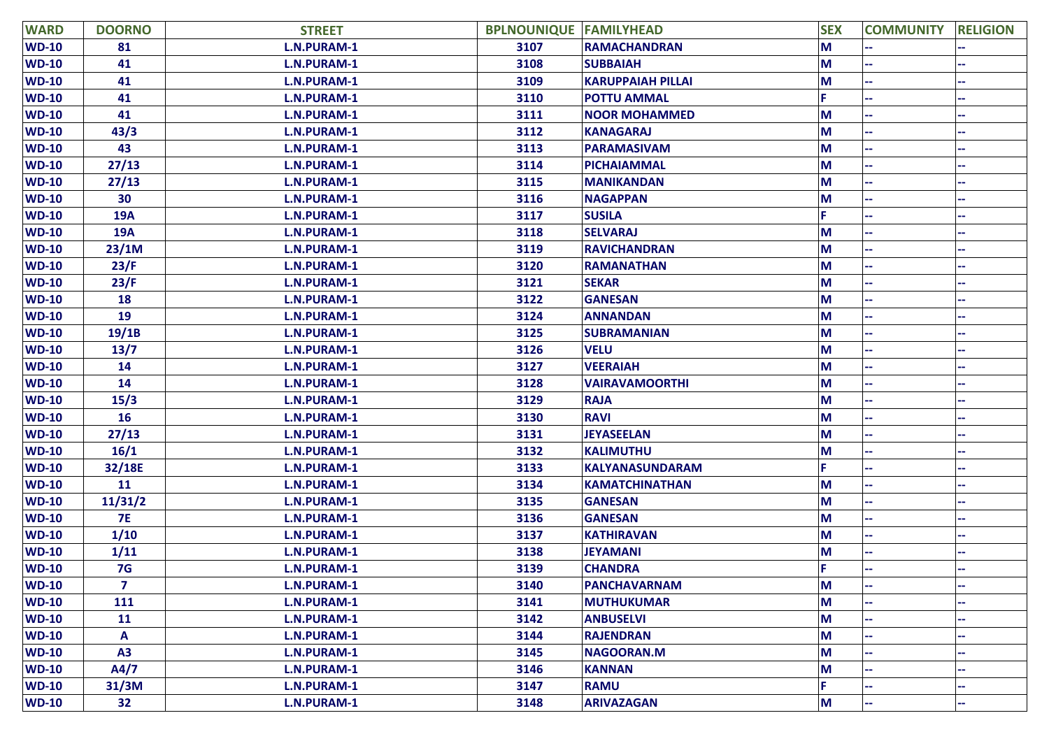| <b>WARD</b>  | <b>DOORNO</b>  | <b>STREET</b>      | <b>BPLNOUNIQUE FAMILYHEAD</b> |                          | <b>SEX</b> | <b>COMMUNITY</b> | <b>RELIGION</b> |
|--------------|----------------|--------------------|-------------------------------|--------------------------|------------|------------------|-----------------|
| <b>WD-10</b> | 81             | <b>L.N.PURAM-1</b> | 3107                          | <b>RAMACHANDRAN</b>      | M          |                  |                 |
| $WD-10$      | 41             | L.N.PURAM-1        | 3108                          | <b>SUBBAIAH</b>          | M          |                  |                 |
| <b>WD-10</b> | 41             | <b>L.N.PURAM-1</b> | 3109                          | <b>KARUPPAIAH PILLAI</b> | M          |                  |                 |
| <b>WD-10</b> | 41             | L.N.PURAM-1        | 3110                          | <b>POTTU AMMAL</b>       |            |                  |                 |
| <b>WD-10</b> | 41             | L.N.PURAM-1        | 3111                          | <b>NOOR MOHAMMED</b>     | M          |                  |                 |
| <b>WD-10</b> | 43/3           | L.N.PURAM-1        | 3112                          | <b>KANAGARAJ</b>         | M          |                  |                 |
| <b>WD-10</b> | 43             | <b>L.N.PURAM-1</b> | 3113                          | <b>PARAMASIVAM</b>       | M          |                  |                 |
| <b>WD-10</b> | 27/13          | <b>L.N.PURAM-1</b> | 3114                          | PICHAIAMMAL              | M          |                  |                 |
| <b>WD-10</b> | 27/13          | <b>L.N.PURAM-1</b> | 3115                          | <b>MANIKANDAN</b>        | М          |                  |                 |
| <b>WD-10</b> | 30             | L.N.PURAM-1        | 3116                          | <b>NAGAPPAN</b>          | M          |                  |                 |
| <b>WD-10</b> | <b>19A</b>     | L.N.PURAM-1        | 3117                          | <b>SUSILA</b>            |            |                  |                 |
| <b>WD-10</b> | <b>19A</b>     | L.N.PURAM-1        | 3118                          | <b>SELVARAJ</b>          | M          |                  |                 |
| <b>WD-10</b> | 23/1M          | L.N.PURAM-1        | 3119                          | <b>RAVICHANDRAN</b>      | M          |                  |                 |
| <b>WD-10</b> | 23/F           | <b>L.N.PURAM-1</b> | 3120                          | <b>RAMANATHAN</b>        | M          |                  |                 |
| <b>WD-10</b> | 23/F           | <b>L.N.PURAM-1</b> | 3121                          | <b>SEKAR</b>             | M          |                  |                 |
| <b>WD-10</b> | 18             | L.N.PURAM-1        | 3122                          | <b>GANESAN</b>           | M          |                  |                 |
| <b>WD-10</b> | 19             | L.N.PURAM-1        | 3124                          | <b>ANNANDAN</b>          | M          |                  |                 |
| <b>WD-10</b> | 19/1B          | L.N.PURAM-1        | 3125                          | <b>SUBRAMANIAN</b>       | M          |                  |                 |
| <b>WD-10</b> | 13/7           | L.N.PURAM-1        | 3126                          | <b>VELU</b>              | М          |                  |                 |
| <b>WD-10</b> | 14             | L.N.PURAM-1        | 3127                          | <b>VEERAIAH</b>          | M          |                  | --              |
| $WD-10$      | 14             | L.N.PURAM-1        | 3128                          | <b>VAIRAVAMOORTHI</b>    | М          |                  |                 |
| <b>WD-10</b> | 15/3           | L.N.PURAM-1        | 3129                          | <b>RAJA</b>              | M          |                  |                 |
| $WD-10$      | 16             | L.N.PURAM-1        | 3130                          | <b>RAVI</b>              | M          |                  |                 |
| <b>WD-10</b> | 27/13          | L.N.PURAM-1        | 3131                          | <b>JEYASEELAN</b>        | M          |                  |                 |
| <b>WD-10</b> | 16/1           | L.N.PURAM-1        | 3132                          | <b>KALIMUTHU</b>         | M          |                  |                 |
| <b>WD-10</b> | 32/18E         | L.N.PURAM-1        | 3133                          | KALYANASUNDARAM          |            |                  |                 |
| $WD-10$      | 11             | L.N.PURAM-1        | 3134                          | <b>KAMATCHINATHAN</b>    | M          |                  |                 |
| <b>WD-10</b> | 11/31/2        | L.N.PURAM-1        | 3135                          | <b>GANESAN</b>           | M          |                  |                 |
| <b>WD-10</b> | <b>7E</b>      | L.N.PURAM-1        | 3136                          | <b>GANESAN</b>           | M          |                  |                 |
| <b>WD-10</b> | 1/10           | L.N.PURAM-1        | 3137                          | <b>KATHIRAVAN</b>        | M          |                  |                 |
| <b>WD-10</b> | 1/11           | L.N.PURAM-1        | 3138                          | <b>JEYAMANI</b>          | M          |                  |                 |
| <b>WD-10</b> | 7 <sub>G</sub> | <b>L.N.PURAM-1</b> | 3139                          | <b>CHANDRA</b>           |            |                  |                 |
| <b>WD-10</b> | 7              | L.N.PURAM-1        | 3140                          | PANCHAVARNAM             | M          |                  | $\sim$ $\sim$   |
| <b>WD-10</b> | 111            | L.N.PURAM-1        | 3141                          | <b>MUTHUKUMAR</b>        | M          |                  |                 |
| $WD-10$      | 11             | L.N.PURAM-1        | 3142                          | <b>ANBUSELVI</b>         | M          |                  |                 |
| $WD-10$      | A              | L.N.PURAM-1        | 3144                          | <b>RAJENDRAN</b>         | M          |                  |                 |
| $WD-10$      | A3             | L.N.PURAM-1        | 3145                          | NAGOORAN.M               | M          |                  |                 |
| $WD-10$      | A4/7           | L.N.PURAM-1        | 3146                          | <b>KANNAN</b>            | M          |                  |                 |
| <b>WD-10</b> | 31/3M          | L.N.PURAM-1        | 3147                          | <b>RAMU</b>              |            |                  |                 |
| <b>WD-10</b> | 32             | L.N.PURAM-1        | 3148                          | <b>ARIVAZAGAN</b>        | M          | ÷                | ۰.              |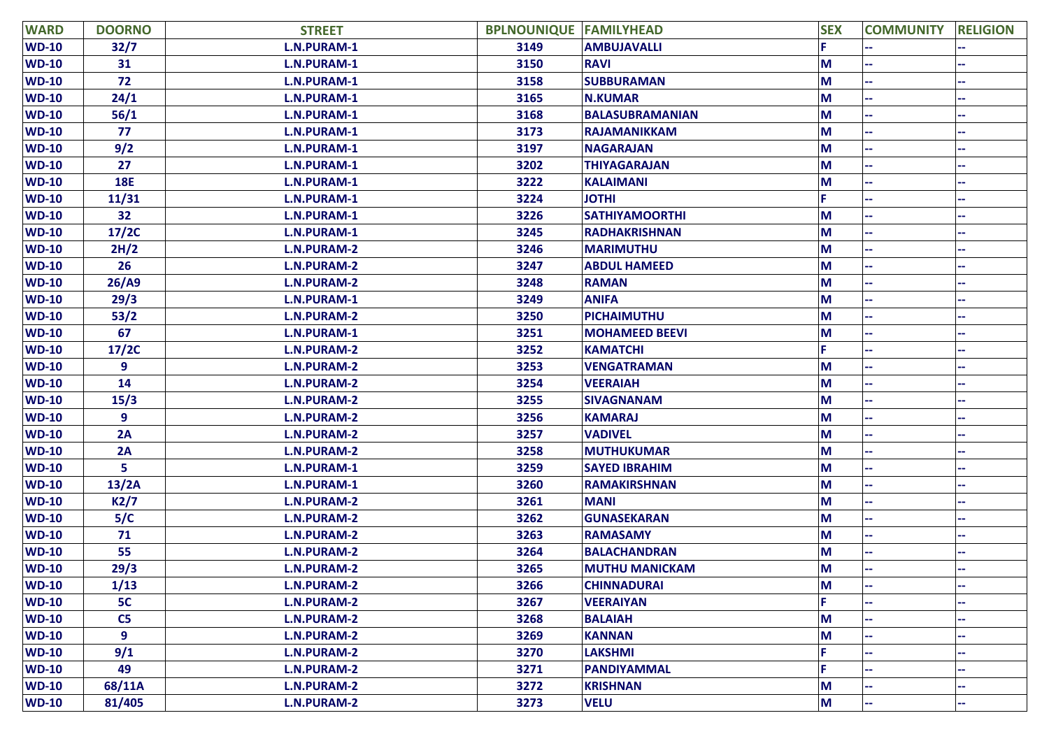| <b>WARD</b>  | <b>DOORNO</b>  | <b>STREET</b>      | <b>BPLNOUNIQUE FAMILYHEAD</b> |                        | <b>SEX</b> | <b>COMMUNITY</b> | <b>RELIGION</b> |
|--------------|----------------|--------------------|-------------------------------|------------------------|------------|------------------|-----------------|
| $WD-10$      | 32/7           | L.N.PURAM-1        | 3149                          | <b>AMBUJAVALLI</b>     |            |                  |                 |
| $WD-10$      | 31             | L.N.PURAM-1        | 3150                          | <b>RAVI</b>            | M          |                  |                 |
| <b>WD-10</b> | 72             | L.N.PURAM-1        | 3158                          | <b>SUBBURAMAN</b>      | M          |                  |                 |
| <b>WD-10</b> | 24/1           | L.N.PURAM-1        | 3165                          | <b>N.KUMAR</b>         | M          |                  |                 |
| <b>WD-10</b> | 56/1           | L.N.PURAM-1        | 3168                          | <b>BALASUBRAMANIAN</b> | M          |                  |                 |
| <b>WD-10</b> | 77             | L.N.PURAM-1        | 3173                          | <b>RAJAMANIKKAM</b>    | M          |                  |                 |
| <b>WD-10</b> | 9/2            | L.N.PURAM-1        | 3197                          | <b>NAGARAJAN</b>       | М          |                  |                 |
| <b>WD-10</b> | 27             | L.N.PURAM-1        | 3202                          | <b>THIYAGARAJAN</b>    | M          |                  |                 |
| <b>WD-10</b> | <b>18E</b>     | L.N.PURAM-1        | 3222                          | <b>KALAIMANI</b>       | М          |                  |                 |
| <b>WD-10</b> | 11/31          | L.N.PURAM-1        | 3224                          | <b>JOTHI</b>           |            |                  |                 |
| <b>WD-10</b> | 32             | L.N.PURAM-1        | 3226                          | <b>SATHIYAMOORTHI</b>  | М          |                  |                 |
| <b>WD-10</b> | 17/2C          | L.N.PURAM-1        | 3245                          | <b>RADHAKRISHNAN</b>   | M          |                  |                 |
| <b>WD-10</b> | 2H/2           | <b>L.N.PURAM-2</b> | 3246                          | <b>MARIMUTHU</b>       | M          |                  |                 |
| <b>WD-10</b> | 26             | <b>L.N.PURAM-2</b> | 3247                          | <b>ABDUL HAMEED</b>    | M          |                  |                 |
| <b>WD-10</b> | 26/AB          | <b>L.N.PURAM-2</b> | 3248                          | <b>RAMAN</b>           | M          |                  |                 |
| <b>WD-10</b> | 29/3           | L.N.PURAM-1        | 3249                          | <b>ANIFA</b>           | M          |                  |                 |
| <b>WD-10</b> | 53/2           | <b>L.N.PURAM-2</b> | 3250                          | PICHAIMUTHU            | M          |                  |                 |
| $WD-10$      | 67             | L.N.PURAM-1        | 3251                          | <b>MOHAMEED BEEVI</b>  | M          |                  |                 |
| <b>WD-10</b> | 17/2C          | <b>L.N.PURAM-2</b> | 3252                          | <b>KAMATCHI</b>        |            |                  |                 |
| <b>WD-10</b> | 9              | <b>L.N.PURAM-2</b> | 3253                          | <b>VENGATRAMAN</b>     | М          |                  |                 |
| <b>WD-10</b> | 14             | <b>L.N.PURAM-2</b> | 3254                          | <b>VEERAIAH</b>        | M          |                  |                 |
| <b>WD-10</b> | 15/3           | <b>L.N.PURAM-2</b> | 3255                          | <b>SIVAGNANAM</b>      | M          |                  |                 |
| <b>WD-10</b> | 9              | <b>L.N.PURAM-2</b> | 3256                          | <b>KAMARAJ</b>         | М          |                  |                 |
| <b>WD-10</b> | 2A             | L.N.PURAM-2        | 3257                          | <b>VADIVEL</b>         | М          |                  |                 |
| <b>WD-10</b> | 2A             | L.N.PURAM-2        | 3258                          | <b>MUTHUKUMAR</b>      | М          |                  |                 |
| <b>WD-10</b> | 5              | <b>L.N.PURAM-1</b> | 3259                          | <b>SAYED IBRAHIM</b>   | M          |                  |                 |
| <b>WD-10</b> | 13/2A          | L.N.PURAM-1        | 3260                          | <b>RAMAKIRSHNAN</b>    | М          |                  |                 |
| <b>WD-10</b> | K2/7           | <b>L.N.PURAM-2</b> | 3261                          | <b>MANI</b>            | М          |                  |                 |
| <b>WD-10</b> | 5/C            | <b>L.N.PURAM-2</b> | 3262                          | <b>GUNASEKARAN</b>     | M          |                  |                 |
| <b>WD-10</b> | 71             | <b>L.N.PURAM-2</b> | 3263                          | <b>RAMASAMY</b>        | M          |                  |                 |
| <b>WD-10</b> | 55             | <b>L.N.PURAM-2</b> | 3264                          | <b>BALACHANDRAN</b>    | М          |                  |                 |
| <b>WD-10</b> | 29/3           | <b>L.N.PURAM-2</b> | 3265                          | <b>MUTHU MANICKAM</b>  | M          |                  |                 |
| <b>WD-10</b> | 1/13           | <b>L.N.PURAM-2</b> | 3266                          | <b>CHINNADURAI</b>     | M          |                  |                 |
| $WD-10$      | 5C             | <b>L.N.PURAM-2</b> | 3267                          | <b>VEERAIYAN</b>       |            |                  |                 |
| $WD-10$      | C <sub>5</sub> | <b>L.N.PURAM-2</b> | 3268                          | <b>BALAIAH</b>         | M          |                  |                 |
| $WD-10$      | 9              | <b>L.N.PURAM-2</b> | 3269                          | <b>KANNAN</b>          | M          |                  |                 |
| $WD-10$      | 9/1            | <b>L.N.PURAM-2</b> | 3270                          | <b>LAKSHMI</b>         |            |                  |                 |
| $WD-10$      | 49             | <b>L.N.PURAM-2</b> | 3271                          | PANDIYAMMAL            |            |                  |                 |
| $WD-10$      | 68/11A         | <b>L.N.PURAM-2</b> | 3272                          | <b>KRISHNAN</b>        | M          |                  |                 |
| $WD-10$      | 81/405         | <b>L.N.PURAM-2</b> | 3273                          | <b>VELU</b>            | M          |                  |                 |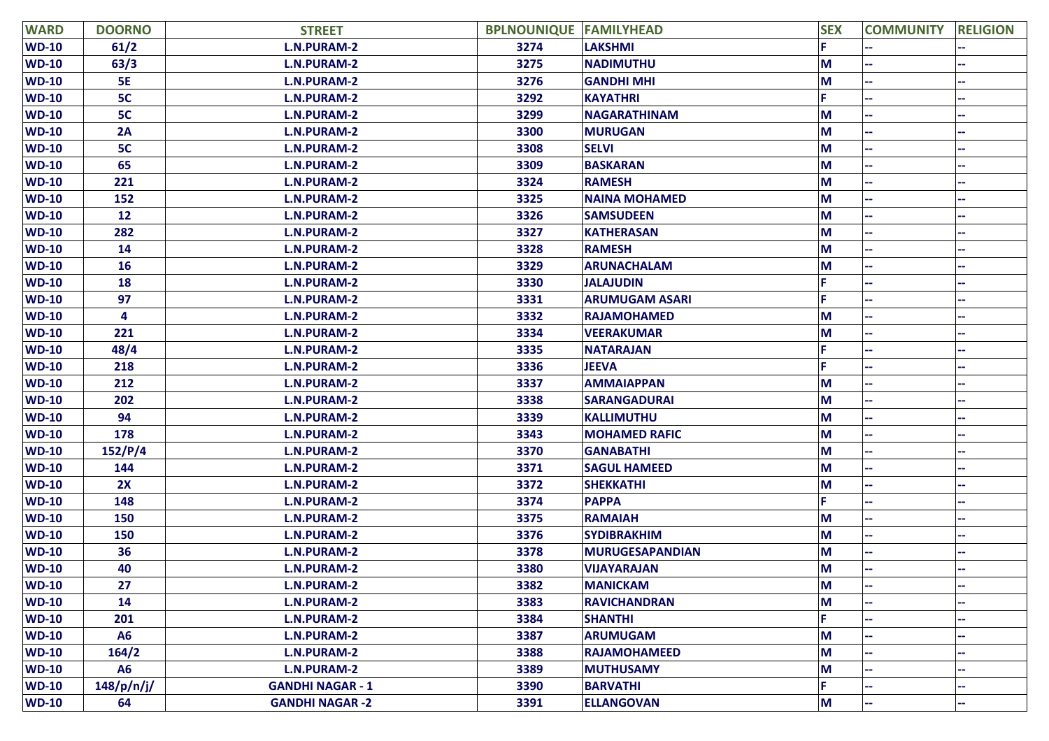| <b>WARD</b>  | <b>DOORNO</b> | <b>STREET</b>           | <b>BPLNOUNIQUE FAMILYHEAD</b> |                        | <b>SEX</b> | <b>COMMUNITY</b> | <b>RELIGION</b> |
|--------------|---------------|-------------------------|-------------------------------|------------------------|------------|------------------|-----------------|
| $WD-10$      | 61/2          | <b>L.N.PURAM-2</b>      | 3274                          | <b>LAKSHMI</b>         |            |                  |                 |
| $WD-10$      | 63/3          | <b>L.N.PURAM-2</b>      | 3275                          | <b>NADIMUTHU</b>       | M          |                  |                 |
| <b>WD-10</b> | <b>5E</b>     | <b>L.N.PURAM-2</b>      | 3276                          | <b>GANDHI MHI</b>      | M          |                  |                 |
| <b>WD-10</b> | 5C            | <b>L.N.PURAM-2</b>      | 3292                          | <b>KAYATHRI</b>        |            |                  |                 |
| $WD-10$      | 5C            | <b>L.N.PURAM-2</b>      | 3299                          | <b>NAGARATHINAM</b>    | M          |                  |                 |
| <b>WD-10</b> | 2A            | <b>L.N.PURAM-2</b>      | 3300                          | <b>MURUGAN</b>         | M          |                  |                 |
| $WD-10$      | 5C            | <b>L.N.PURAM-2</b>      | 3308                          | <b>SELVI</b>           | M          |                  |                 |
| <b>WD-10</b> | 65            | <b>L.N.PURAM-2</b>      | 3309                          | <b>BASKARAN</b>        | M          |                  |                 |
| <b>WD-10</b> | 221           | <b>L.N.PURAM-2</b>      | 3324                          | <b>RAMESH</b>          | М          |                  |                 |
| <b>WD-10</b> | 152           | <b>L.N.PURAM-2</b>      | 3325                          | <b>NAINA MOHAMED</b>   | M          |                  |                 |
| <b>WD-10</b> | 12            | <b>L.N.PURAM-2</b>      | 3326                          | <b>SAMSUDEEN</b>       | М          |                  |                 |
| <b>WD-10</b> | 282           | <b>L.N.PURAM-2</b>      | 3327                          | <b>KATHERASAN</b>      | M          |                  |                 |
| $WD-10$      | 14            | <b>L.N.PURAM-2</b>      | 3328                          | <b>RAMESH</b>          | M          |                  |                 |
| <b>WD-10</b> | <b>16</b>     | <b>L.N.PURAM-2</b>      | 3329                          | <b>ARUNACHALAM</b>     | M          |                  |                 |
| <b>WD-10</b> | 18            | <b>L.N.PURAM-2</b>      | 3330                          | <b>JALAJUDIN</b>       |            |                  |                 |
| <b>WD-10</b> | 97            | <b>L.N.PURAM-2</b>      | 3331                          | <b>ARUMUGAM ASARI</b>  |            |                  |                 |
| $WD-10$      | 4             | <b>L.N.PURAM-2</b>      | 3332                          | <b>RAJAMOHAMED</b>     | М          |                  |                 |
| <b>WD-10</b> | 221           | <b>L.N.PURAM-2</b>      | 3334                          | <b>VEERAKUMAR</b>      | M          |                  |                 |
| <b>WD-10</b> | 48/4          | <b>L.N.PURAM-2</b>      | 3335                          | <b>NATARAJAN</b>       |            |                  |                 |
| <b>WD-10</b> | 218           | <b>L.N.PURAM-2</b>      | 3336                          | <b>JEEVA</b>           |            |                  |                 |
| $WD-10$      | 212           | <b>L.N.PURAM-2</b>      | 3337                          | <b>AMMAIAPPAN</b>      | M          |                  |                 |
| <b>WD-10</b> | 202           | <b>L.N.PURAM-2</b>      | 3338                          | <b>SARANGADURAI</b>    | M          |                  |                 |
| $WD-10$      | 94            | <b>L.N.PURAM-2</b>      | 3339                          | <b>KALLIMUTHU</b>      | M          |                  |                 |
| <b>WD-10</b> | 178           | <b>L.N.PURAM-2</b>      | 3343                          | <b>MOHAMED RAFIC</b>   | M          |                  |                 |
| <b>WD-10</b> | 152/P/4       | <b>L.N.PURAM-2</b>      | 3370                          | <b>GANABATHI</b>       | M          |                  |                 |
| <b>WD-10</b> | 144           | <b>L.N.PURAM-2</b>      | 3371                          | <b>SAGUL HAMEED</b>    | M          |                  |                 |
| <b>WD-10</b> | 2X            | <b>L.N.PURAM-2</b>      | 3372                          | <b>SHEKKATHI</b>       | M          |                  |                 |
| <b>WD-10</b> | 148           | <b>L.N.PURAM-2</b>      | 3374                          | <b>PAPPA</b>           |            |                  |                 |
| <b>WD-10</b> | 150           | L.N.PURAM-2             | 3375                          | <b>RAMAIAH</b>         | M          |                  |                 |
| <b>WD-10</b> | 150           | <b>L.N.PURAM-2</b>      | 3376                          | <b>SYDIBRAKHIM</b>     | M          |                  |                 |
| <b>WD-10</b> | 36            | <b>L.N.PURAM-2</b>      | 3378                          | <b>MURUGESAPANDIAN</b> | M          |                  |                 |
| <b>WD-10</b> | 40            | <b>L.N.PURAM-2</b>      | 3380                          | <b>VIJAYARAJAN</b>     | M          |                  |                 |
| <b>WD-10</b> | 27            | <b>L.N.PURAM-2</b>      | 3382                          | <b>MANICKAM</b>        | M          |                  | ۰.              |
| $WD-10$      | 14            | <b>L.N.PURAM-2</b>      | 3383                          | <b>RAVICHANDRAN</b>    | M          |                  |                 |
| $WD-10$      | 201           | <b>L.N.PURAM-2</b>      | 3384                          | <b>SHANTHI</b>         |            |                  |                 |
| <b>WD-10</b> | <b>A6</b>     | L.N.PURAM-2             | 3387                          | <b>ARUMUGAM</b>        | M          |                  |                 |
| $WD-10$      | 164/2         | <b>L.N.PURAM-2</b>      | 3388                          | <b>RAJAMOHAMEED</b>    | M          |                  |                 |
| $WD-10$      | <b>A6</b>     | L.N.PURAM-2             | 3389                          | <b>MUTHUSAMY</b>       | M          |                  |                 |
| <b>WD-10</b> | 148/p/n/j/    | <b>GANDHI NAGAR - 1</b> | 3390                          | <b>BARVATHI</b>        |            |                  |                 |
| <b>WD-10</b> | 64            | <b>GANDHI NAGAR -2</b>  | 3391                          | <b>ELLANGOVAN</b>      | M          | ÷                | ۰.              |